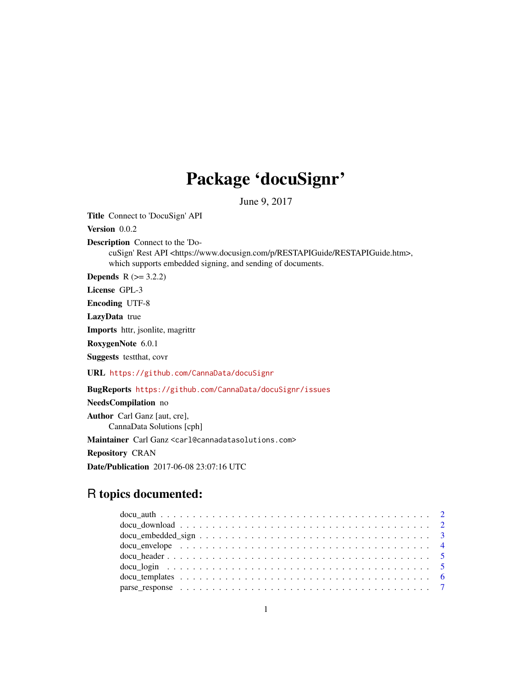# Package 'docuSignr'

June 9, 2017

Title Connect to 'DocuSign' API

Version 0.0.2

Description Connect to the 'Do-

cuSign' Rest API <https://www.docusign.com/p/RESTAPIGuide/RESTAPIGuide.htm>, which supports embedded signing, and sending of documents.

**Depends**  $R$  ( $>= 3.2.2$ )

License GPL-3

Encoding UTF-8

LazyData true

Imports httr, jsonlite, magrittr

RoxygenNote 6.0.1

Suggests testthat, covr

URL <https://github.com/CannaData/docuSignr>

BugReports <https://github.com/CannaData/docuSignr/issues>

NeedsCompilation no Author Carl Ganz [aut, cre], CannaData Solutions [cph]

Maintainer Carl Ganz <carl@cannadatasolutions.com>

Repository CRAN

Date/Publication 2017-06-08 23:07:16 UTC

# R topics documented: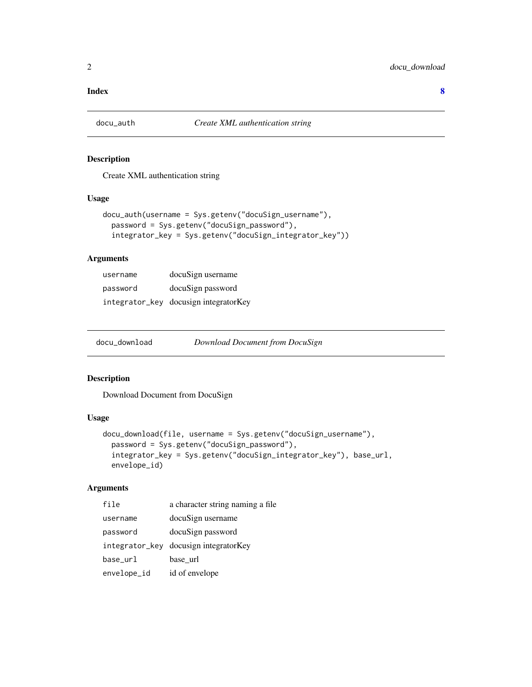#### <span id="page-1-0"></span>**Index** [8](#page-7-0) **8**

#### Description

Create XML authentication string

#### Usage

```
docu_auth(username = Sys.getenv("docuSign_username"),
 password = Sys.getenv("docuSign_password"),
  integrator_key = Sys.getenv("docuSign_integrator_key"))
```
#### Arguments

| username | docuSign username                     |
|----------|---------------------------------------|
| password | docuSign password                     |
|          | integrator_key docusign integratorKey |

| docu_download | Download Document from DocuSign |  |
|---------------|---------------------------------|--|
|---------------|---------------------------------|--|

#### Description

Download Document from DocuSign

#### Usage

```
docu_download(file, username = Sys.getenv("docuSign_username"),
 password = Sys.getenv("docuSign_password"),
  integrator_key = Sys.getenv("docuSign_integrator_key"), base_url,
  envelope_id)
```
#### Arguments

| file        | a character string naming a file      |
|-------------|---------------------------------------|
| username    | docuSign username                     |
| password    | docuSign password                     |
|             | integrator_key docusign integratorKey |
| base_url    | base url                              |
| envelope_id | id of envelope                        |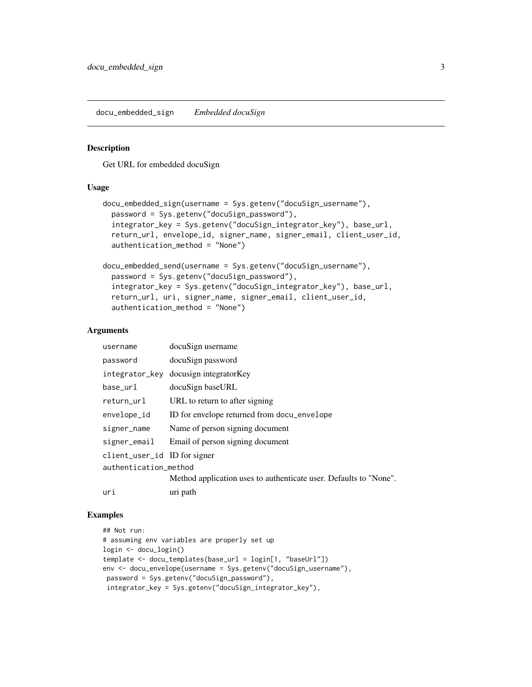<span id="page-2-0"></span>docu\_embedded\_sign *Embedded docuSign*

#### Description

Get URL for embedded docuSign

#### Usage

```
docu_embedded_sign(username = Sys.getenv("docuSign_username"),
  password = Sys.getenv("docuSign_password"),
  integrator_key = Sys.getenv("docuSign_integrator_key"), base_url,
  return_url, envelope_id, signer_name, signer_email, client_user_id,
  authentication_method = "None")
```

```
docu_embedded_send(username = Sys.getenv("docuSign_username"),
  password = Sys.getenv("docuSign_password"),
  integrator_key = Sys.getenv("docuSign_integrator_key"), base_url,
  return_url, uri, signer_name, signer_email, client_user_id,
  authentication_method = "None")
```
#### Arguments

| username                     | docuSign username                                                 |
|------------------------------|-------------------------------------------------------------------|
| password                     | docuSign password                                                 |
| integrator_key               | docusign integrator Key                                           |
| base_url                     | docuSign baseURL                                                  |
| return_url                   | URL to return to after signing                                    |
| envelope_id                  | ID for envelope returned from docu_envelope                       |
| signer_name                  | Name of person signing document                                   |
| signer_email                 | Email of person signing document                                  |
| client_user_id ID for signer |                                                                   |
| authentication_method        |                                                                   |
|                              | Method application uses to authenticate user. Defaults to "None". |
| uri                          | uri path                                                          |

### Examples

```
## Not run:
# assuming env variables are properly set up
login <- docu_login()
template <- docu_templates(base_url = login[1, "baseUrl"])
env <- docu_envelope(username = Sys.getenv("docuSign_username"),
password = Sys.getenv("docuSign_password"),
integrator_key = Sys.getenv("docuSign_integrator_key"),
```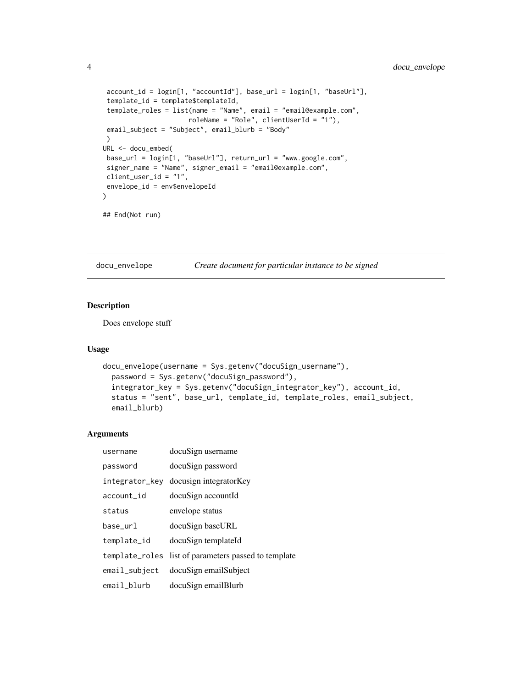```
account_id = login[1, "accountId"], base_url = login[1, "baseUrl"],
 template_id = template$templateId,
template_roles = list(name = "Name", email = "email@example.com",
                      roleName = "Role", clientUserId = "1"),
email_subject = "Subject", email_blurb = "Body"
\lambdaURL <- docu_embed(
base_url = login[1, "baseUrl"], return_url = "www.google.com",
signer_name = "Name", signer_email = "email@example.com",
client_user_id = "1",
envelope_id = env$envelopeId
\lambda## End(Not run)
```
docu\_envelope *Create document for particular instance to be signed*

### Description

Does envelope stuff

#### Usage

```
docu_envelope(username = Sys.getenv("docuSign_username"),
  password = Sys.getenv("docuSign_password"),
  integrator_key = Sys.getenv("docuSign_integrator_key"), account_id,
  status = "sent", base_url, template_id, template_roles, email_subject,
  email_blurb)
```
#### Arguments

| username         | docuSign username                                    |
|------------------|------------------------------------------------------|
| password         | docuSign password                                    |
|                  | integrator_key docusign integratorKey                |
| account_id       | docuSign accountId                                   |
| status           | envelope status                                      |
| base_url         | docuSign baseURL                                     |
| template_id      | docuSign templateId                                  |
|                  | template_roles list of parameters passed to template |
| $email$ _subject | docuSign emailSubject                                |
| email_blurb      | docuSign emailBlurb                                  |

<span id="page-3-0"></span>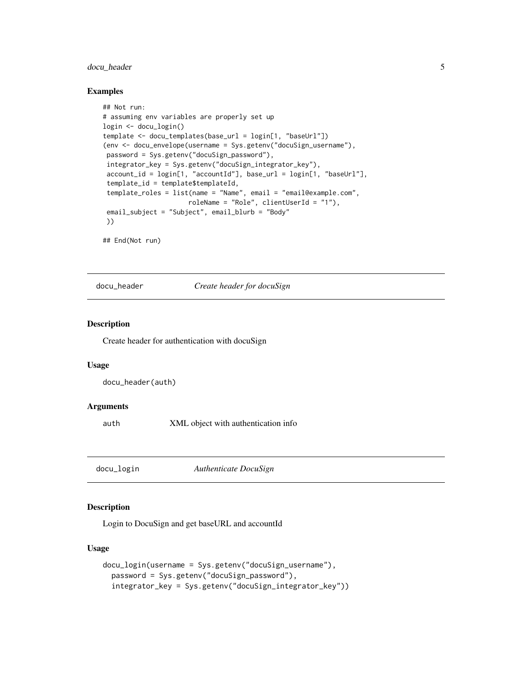#### <span id="page-4-0"></span>docu\_header 5

#### Examples

```
## Not run:
# assuming env variables are properly set up
login <- docu_login()
template <- docu_templates(base_url = login[1, "baseUrl"])
(env <- docu_envelope(username = Sys.getenv("docuSign_username"),
password = Sys.getenv("docuSign_password"),
integrator_key = Sys.getenv("docuSign_integrator_key"),
account_id = login[1, "accountId"], base_url = login[1, "baseUrl"],
 template_id = template$templateId,
 template_roles = list(name = "Name", email = "email@example.com",
                      roleName = "Role", clientUserId = "1"),
email_subject = "Subject", email_blurb = "Body"
))
```
## End(Not run)

docu\_header *Create header for docuSign*

#### Description

Create header for authentication with docuSign

#### Usage

docu\_header(auth)

#### Arguments

auth XML object with authentication info

docu\_login *Authenticate DocuSign*

#### Description

Login to DocuSign and get baseURL and accountId

#### Usage

```
docu_login(username = Sys.getenv("docuSign_username"),
 password = Sys.getenv("docuSign_password"),
  integrator_key = Sys.getenv("docuSign_integrator_key"))
```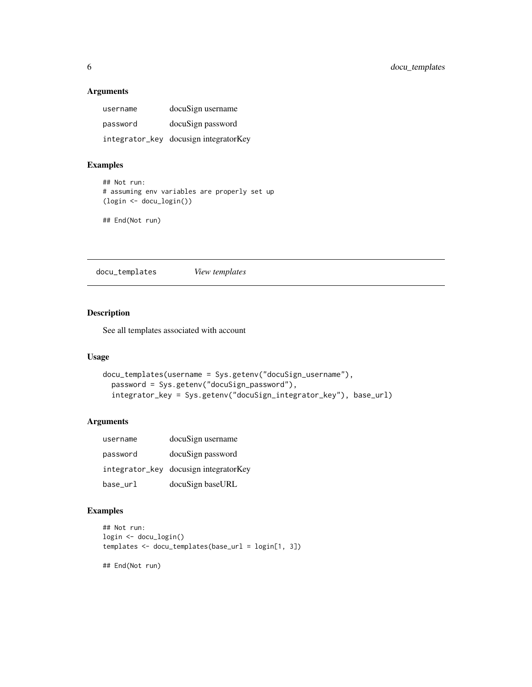#### <span id="page-5-0"></span>Arguments

| username | docuSign username                     |
|----------|---------------------------------------|
| password | docuSign password                     |
|          | integrator_key docusign integratorKey |

#### Examples

```
## Not run:
# assuming env variables are properly set up
(login <- docu_login())
```
## End(Not run)

docu\_templates *View templates*

#### Description

See all templates associated with account

#### Usage

```
docu_templates(username = Sys.getenv("docuSign_username"),
  password = Sys.getenv("docuSign_password"),
  integrator_key = Sys.getenv("docuSign_integrator_key"), base_url)
```
#### Arguments

| username | docuSign username                     |
|----------|---------------------------------------|
| password | docuSign password                     |
|          | integrator_key docusign integratorKey |
| base_url | docuSign baseURL                      |

# Examples

```
## Not run:
login <- docu_login()
templates <- docu_templates(base_url = login[1, 3])
## End(Not run)
```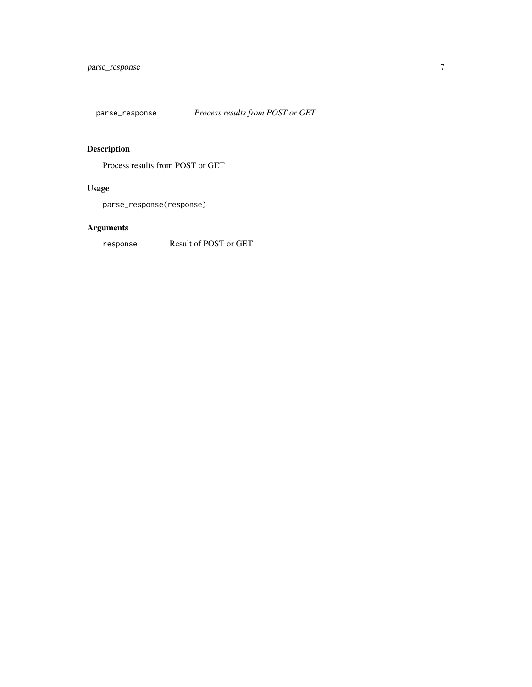<span id="page-6-0"></span>

# Description

Process results from POST or GET

# Usage

parse\_response(response)

# Arguments

response Result of POST or GET